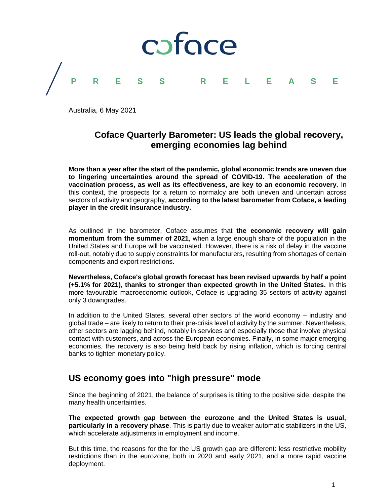

Australia, 6 May 2021

### **Coface Quarterly Barometer: US leads the global recovery, emerging economies lag behind**

**More than a year after the start of the pandemic, global economic trends are uneven due to lingering uncertainties around the spread of COVID-19. The acceleration of the vaccination process, as well as its effectiveness, are key to an economic recovery.** In this context, the prospects for a return to normalcy are both uneven and uncertain across sectors of activity and geography, **according to the latest barometer from Coface, a leading player in the credit insurance industry.**

As outlined in the barometer, Coface assumes that **the economic recovery will gain momentum from the summer of 2021**, when a large enough share of the population in the United States and Europe will be vaccinated. However, there is a risk of delay in the vaccine roll-out, notably due to supply constraints for manufacturers, resulting from shortages of certain components and export restrictions.

**Nevertheless, Coface's global growth forecast has been revised upwards by half a point (+5.1% for 2021), thanks to stronger than expected growth in the United States.** In this more favourable macroeconomic outlook, Coface is upgrading 35 sectors of activity against only 3 downgrades.

In addition to the United States, several other sectors of the world economy – industry and global trade – are likely to return to their pre-crisis level of activity by the summer. Nevertheless, other sectors are lagging behind, notably in services and especially those that involve physical contact with customers, and across the European economies. Finally, in some major emerging economies, the recovery is also being held back by rising inflation, which is forcing central banks to tighten monetary policy.

#### **US economy goes into "high pressure" mode**

Since the beginning of 2021, the balance of surprises is tilting to the positive side, despite the many health uncertainties.

**The expected growth gap between the eurozone and the United States is usual, particularly in a recovery phase**. This is partly due to weaker automatic stabilizers in the US, which accelerate adjustments in employment and income.

But this time, the reasons for the for the US growth gap are different: less restrictive mobility restrictions than in the eurozone, both in 2020 and early 2021, and a more rapid vaccine deployment.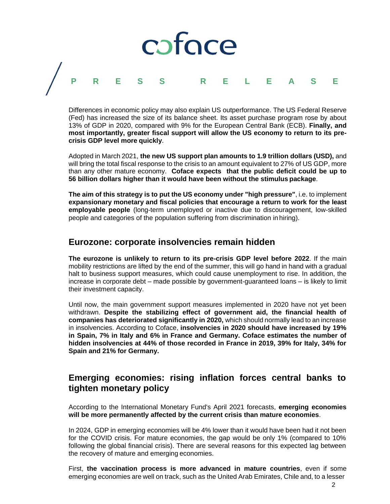

Differences in economic policy may also explain US outperformance. The US Federal Reserve (Fed) has increased the size of its balance sheet. Its asset purchase program rose by about 13% of GDP in 2020, compared with 9% for the European Central Bank (ECB). **Finally, and most importantly, greater fiscal support will allow the US economy to return to its precrisis GDP level more quickly**.

Adopted in March 2021, **the new US support plan amounts to 1.9 trillion dollars (USD),** and will bring the total fiscal response to the crisis to an amount equivalent to 27% of US GDP, more than any other mature economy. **Coface expects that the public deficit could be up to 56 billion dollars higher than it would have been without the stimulus package**.

**The aim of this strategy is to put the US economy under "high pressure"**, i.e. to implement **expansionary monetary and fiscal policies that encourage a return to work for the least employable people** (long-term unemployed or inactive due to discouragement, low-skilled people and categories of the population suffering from discrimination in hiring).

#### **Eurozone: corporate insolvencies remain hidden**

**The eurozone is unlikely to return to its pre-crisis GDP level before 2022**. If the main mobility restrictions are lifted by the end of the summer, this will go hand in hand with a gradual halt to business support measures, which could cause unemployment to rise. In addition, the increase in corporate debt – made possible by government-guaranteed loans – is likely to limit their investment capacity.

Until now, the main government support measures implemented in 2020 have not yet been withdrawn. **Despite the stabilizing effect of government aid, the financial health of companies has deteriorated significantly in 2020,** which should normally lead to an increase in insolvencies. According to Coface, **insolvencies in 2020 should have increased by 19% in Spain, 7% in Italy and 6% in France and Germany. Coface estimates the number of hidden insolvencies at 44% of those recorded in France in 2019, 39% for Italy, 34% for Spain and 21% for Germany.**

## **Emerging economies: rising inflation forces central banks to tighten monetary policy**

According to the International Monetary Fund's April 2021 forecasts, **emerging economies will be more permanently affected by the current crisis than mature economies**.

In 2024, GDP in emerging economies will be 4% lower than it would have been had it not been for the COVID crisis. For mature economies, the gap would be only 1% (compared to 10% following the global financial crisis). There are several reasons for this expected lag between the recovery of mature and emerging economies.

First, **the vaccination process is more advanced in mature countries**, even if some emerging economies are well on track, such as the United Arab Emirates, Chile and, to a lesser